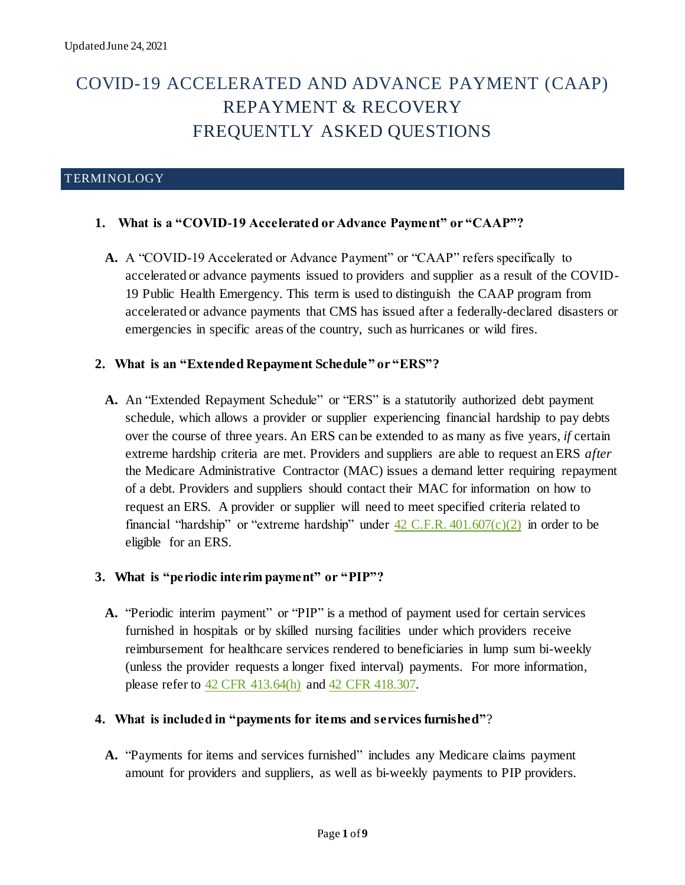# COVID-19 ACCELERATED AND ADVANCE PAYMENT (CAAP) REPAYMENT & RECOVERY FREQUENTLY ASKED QUESTIONS

## TERMINOLOGY

## **1. What is a "COVID-19 Accelerated or Advance Payment" or "CAAP"?**

**A.** A "COVID-19 Accelerated or Advance Payment" or "CAAP" refers specifically to accelerated or advance payments issued to providers and supplier as a result of the COVID-19 Public Health Emergency. This term is used to distinguish the CAAP program from accelerated or advance payments that CMS has issued after a federally-declared disasters or emergencies in specific areas of the country, such as hurricanes or wild fires.

## **2. What is an "Extended Repayment Schedule" or "ERS"?**

**A.** An "Extended Repayment Schedule" or "ERS" is a statutorily authorized debt payment schedule, which allows a provider or supplier experiencing financial hardship to pay debts over the course of three years. An ERS can be extended to as many as five years, *if* certain extreme hardship criteria are met. Providers and suppliers are able to request an ERS *after* the Medicare Administrative Contractor (MAC) issues a demand letter requiring repayment of a debt. Providers and suppliers should contact their MAC for information on how to request an ERS. A provider or supplier will need to meet specified criteria related to financial "hardship" or "extreme hardship" under  $42$  C.F.R.  $401.607(c)(2)$  in order to be eligible for an ERS.

## **3. What is "periodic interim payment" or "PIP"?**

**A.** "Periodic interim payment" or "PIP" is a method of payment used for certain services furnished in hospitals or by skilled nursing facilities under which providers receive reimbursement for healthcare services rendered to beneficiaries in lump sum bi-weekly (unless the provider requests a longer fixed interval) payments. For more information, please refer to [42 CFR 413.64\(h\)](https://www.ecfr.gov/cgi-bin/text-idx?node=pt42.2.413&rgn=div5#se42.2.413_164) an[d 42 CFR 418.307.](https://www.ecfr.gov/cgi-bin/text-idx?SID=881aee993ddbaba6bfbcbf14eb2b490c&mc=true&node=pt42.3.418&rgn=div5#se42.3.418_1307) 

## **4. What is included in "payments for items and services furnished"**?

**A.** "Payments for items and services furnished" includes any Medicare claims payment amount for providers and suppliers, as well as bi-weekly payments to PIP providers.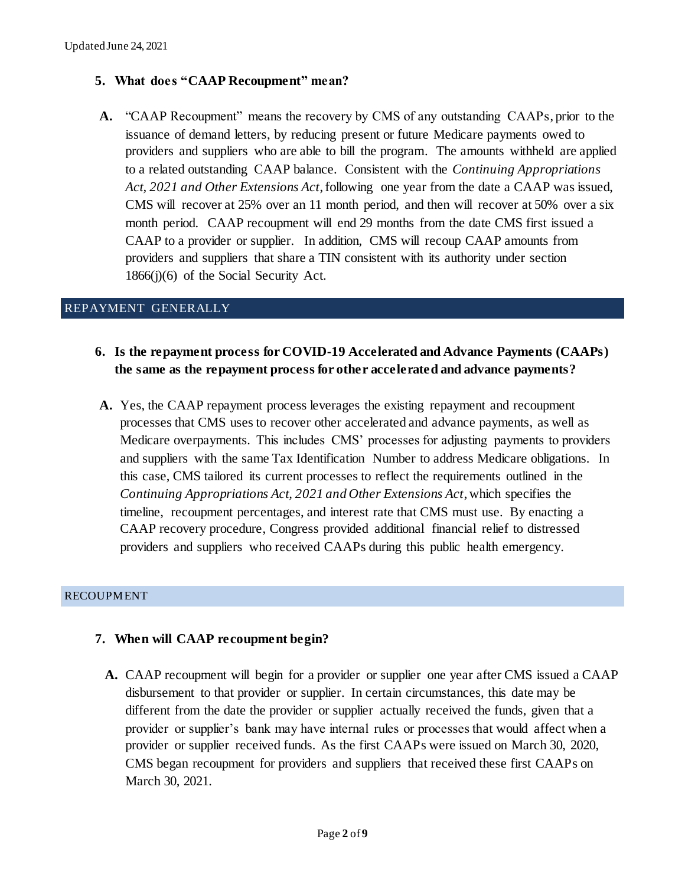## **5. What does "CAAP Recoupment" mean?**

**A.** "CAAP Recoupment" means the recovery by CMS of any outstanding CAAPs, prior to the issuance of demand letters, by reducing present or future Medicare payments owed to providers and suppliers who are able to bill the program. The amounts withheld are applied to a related outstanding CAAP balance. Consistent with the *Continuing Appropriations Act, 2021 and Other Extensions Act*, following one year from the date a CAAP was issued, CMS will recover at 25% over an 11 month period, and then will recover at 50% over a six month period. CAAP recoupment will end 29 months from the date CMS first issued a CAAP to a provider or supplier. In addition, CMS will recoup CAAP amounts from providers and suppliers that share a TIN consistent with its authority under section 1866(j)(6) of the Social Security Act.

## REPAYMENT GENERALLY

- **6. Is the repayment process for COVID-19 Accelerated and Advance Payments (CAAPs) the same as the repayment process for other accelerated and advance payments?**
- **A.** Yes, the CAAP repayment process leverages the existing repayment and recoupment processes that CMS uses to recover other accelerated and advance payments, as well as Medicare overpayments. This includes CMS' processes for adjusting payments to providers and suppliers with the same Tax Identification Number to address Medicare obligations. In this case, CMS tailored its current processes to reflect the requirements outlined in the *Continuing Appropriations Act, 2021 and Other Extensions Act*, which specifies the timeline, recoupment percentages, and interest rate that CMS must use. By enacting a CAAP recovery procedure, Congress provided additional financial relief to distressed providers and suppliers who received CAAPs during this public health emergency.

#### RECOUPMENT

## **7. When will CAAP recoupment begin?**

**A.** CAAP recoupment will begin for a provider or supplier one year after CMS issued a CAAP disbursement to that provider or supplier. In certain circumstances, this date may be different from the date the provider or supplier actually received the funds, given that a provider or supplier's bank may have internal rules or processes that would affect when a provider or supplier received funds. As the first CAAPs were issued on March 30, 2020, CMS began recoupment for providers and suppliers that received these first CAAPs on March 30, 2021.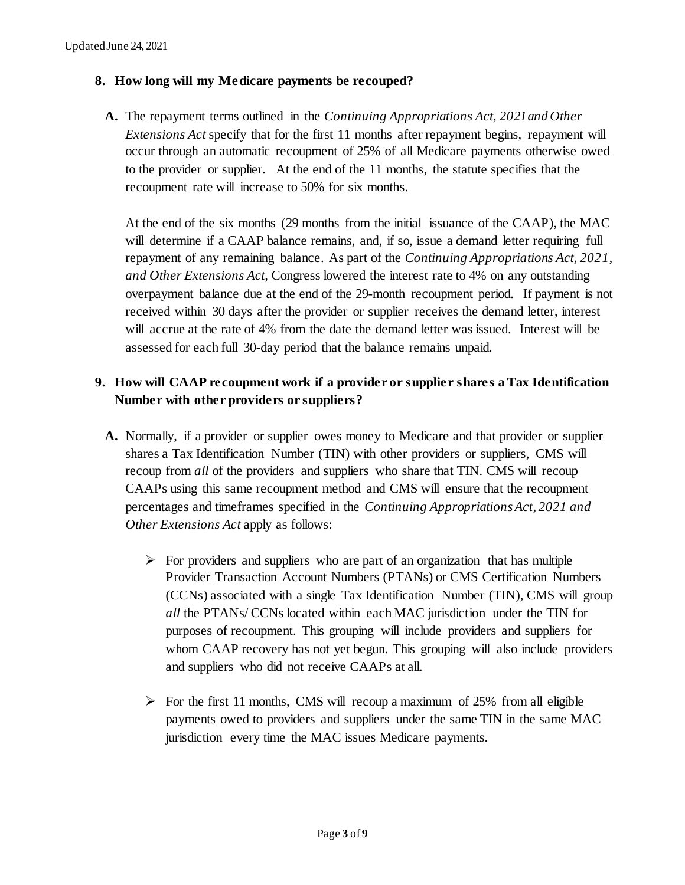## **8. How long will my Medicare payments be recouped?**

**A.** The repayment terms outlined in the *Continuing Appropriations Act, 2021and Other Extensions Act* specify that for the first 11 months after repayment begins, repayment will occur through an automatic recoupment of 25% of all Medicare payments otherwise owed to the provider or supplier. At the end of the 11 months, the statute specifies that the recoupment rate will increase to 50% for six months.

At the end of the six months (29 months from the initial issuance of the CAAP), the MAC will determine if a CAAP balance remains, and, if so, issue a demand letter requiring full repayment of any remaining balance. As part of the *Continuing Appropriations Act, 2021, and Other Extensions Act,* Congress lowered the interest rate to 4% on any outstanding overpayment balance due at the end of the 29-month recoupment period. If payment is not received within 30 days after the provider or supplier receives the demand letter, interest will accrue at the rate of 4% from the date the demand letter was issued. Interest will be assessed for each full 30-day period that the balance remains unpaid.

# **9. How will CAAP recoupment work if a provider or supplier shares a Tax Identification Number with other providers or suppliers?**

- **A.** Normally, if a provider or supplier owes money to Medicare and that provider or supplier shares a Tax Identification Number (TIN) with other providers or suppliers, CMS will recoup from *all* of the providers and suppliers who share that TIN. CMS will recoup CAAPs using this same recoupment method and CMS will ensure that the recoupment percentages and timeframes specified in the *Continuing Appropriations Act*, *2021 and Other Extensions Act* apply as follows:
	- $\triangleright$  For providers and suppliers who are part of an organization that has multiple Provider Transaction Account Numbers (PTANs) or CMS Certification Numbers (CCNs) associated with a single Tax Identification Number (TIN), CMS will group *all* the PTANs/ CCNs located within each MAC jurisdiction under the TIN for purposes of recoupment. This grouping will include providers and suppliers for whom CAAP recovery has not yet begun. This grouping will also include providers and suppliers who did not receive CAAPs at all.
	- $\triangleright$  For the first 11 months, CMS will recoup a maximum of 25% from all eligible payments owed to providers and suppliers under the same TIN in the same MAC jurisdiction every time the MAC issues Medicare payments.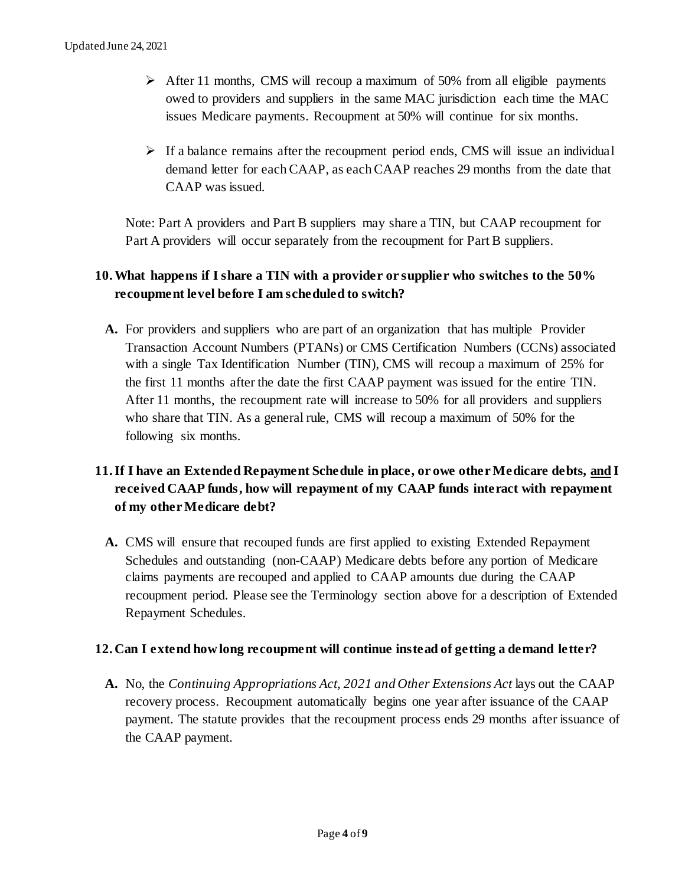- ➢ After 11 months, CMS will recoup a maximum of 50% from all eligible payments owed to providers and suppliers in the same MAC jurisdiction each time the MAC issues Medicare payments. Recoupment at 50% will continue for six months.
- $\triangleright$  If a balance remains after the recoupment period ends, CMS will issue an individual demand letter for each CAAP, as each CAAP reaches 29 months from the date that CAAP was issued.

Note: Part A providers and Part B suppliers may share a TIN, but CAAP recoupment for Part A providers will occur separately from the recoupment for Part B suppliers.

# **10.What happens if I share a TIN with a provider or supplier who switches to the 50% recoupment level before I am scheduled to switch?**

**A.** For providers and suppliers who are part of an organization that has multiple Provider Transaction Account Numbers (PTANs) or CMS Certification Numbers (CCNs) associated with a single Tax Identification Number (TIN), CMS will recoup a maximum of 25% for the first 11 months after the date the first CAAP payment was issued for the entire TIN. After 11 months, the recoupment rate will increase to 50% for all providers and suppliers who share that TIN. As a general rule, CMS will recoup a maximum of 50% for the following six months.

# **11.If I have an Extended Repayment Schedule in place, or owe other Medicare debts, and I received CAAP funds, how will repayment of my CAAP funds interact with repayment of my other Medicare debt?**

**A.** CMS will ensure that recouped funds are first applied to existing Extended Repayment Schedules and outstanding (non-CAAP) Medicare debts before any portion of Medicare claims payments are recouped and applied to CAAP amounts due during the CAAP recoupment period. Please see the Terminology section above for a description of Extended Repayment Schedules.

## **12. Can I extend how long recoupment will continue instead of getting a demand letter?**

**A.** No, the *Continuing Appropriations Act, 2021 and Other Extensions Act* lays out the CAAP recovery process. Recoupment automatically begins one year after issuance of the CAAP payment. The statute provides that the recoupment process ends 29 months after issuance of the CAAP payment.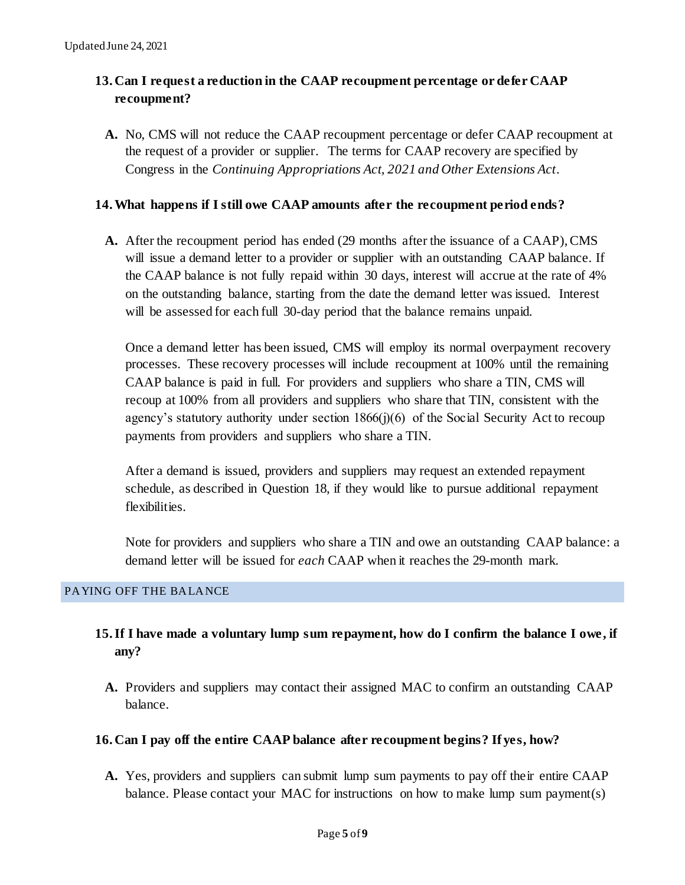# **13. Can I request a reduction in the CAAP recoupment percentage or defer CAAP recoupment?**

**A.** No, CMS will not reduce the CAAP recoupment percentage or defer CAAP recoupment at the request of a provider or supplier. The terms for CAAP recovery are specified by Congress in the *Continuing Appropriations Act, 2021 and Other Extensions Act*.

## **14.What happens if I still owe CAAP amounts after the recoupment period ends?**

**A.** After the recoupment period has ended (29 months after the issuance of a CAAP), CMS will issue a demand letter to a provider or supplier with an outstanding CAAP balance. If the CAAP balance is not fully repaid within 30 days, interest will accrue at the rate of 4% on the outstanding balance, starting from the date the demand letter was issued. Interest will be assessed for each full 30-day period that the balance remains unpaid.

Once a demand letter has been issued, CMS will employ its normal overpayment recovery processes. These recovery processes will include recoupment at 100% until the remaining CAAP balance is paid in full. For providers and suppliers who share a TIN, CMS will recoup at 100% from all providers and suppliers who share that TIN, consistent with the agency's statutory authority under section 1866(j)(6) of the Social Security Act to recoup payments from providers and suppliers who share a TIN.

After a demand is issued, providers and suppliers may request an extended repayment schedule, as described in Question 18, if they would like to pursue additional repayment flexibilities.

Note for providers and suppliers who share a TIN and owe an outstanding CAAP balance: a demand letter will be issued for *each* CAAP when it reaches the 29-month mark.

## PAYING OFF THE BALANCE

# **15.If I have made a voluntary lump sum repayment, how do I confirm the balance I owe, if any?**

**A.** Providers and suppliers may contact their assigned MAC to confirm an outstanding CAAP balance.

## **16. Can I pay off the entire CAAP balance after recoupment begins? If yes, how?**

**A.** Yes, providers and suppliers can submit lump sum payments to pay off their entire CAAP balance. Please contact your MAC for instructions on how to make lump sum payment(s)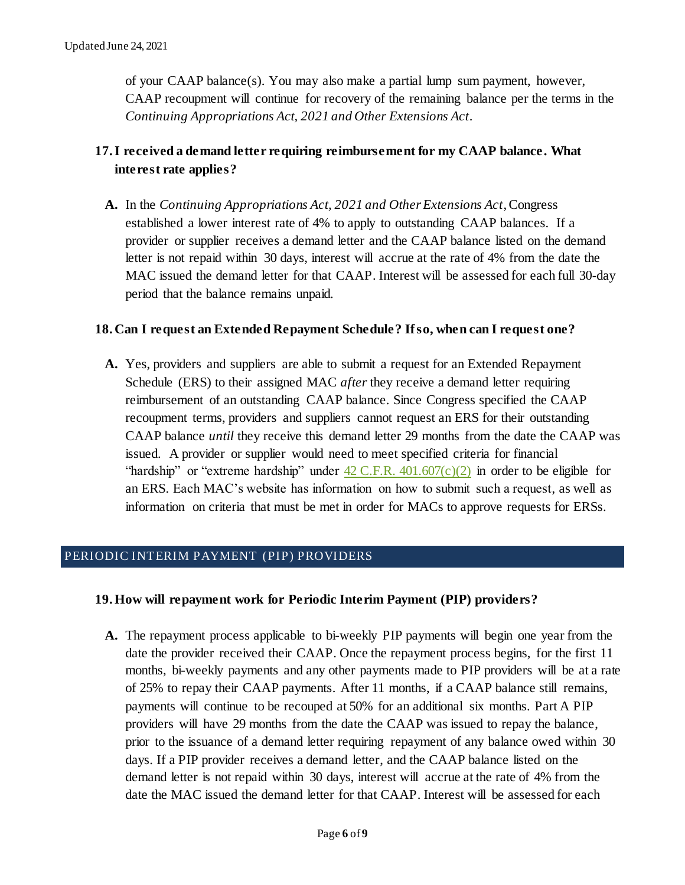of your CAAP balance(s). You may also make a partial lump sum payment, however, CAAP recoupment will continue for recovery of the remaining balance per the terms in the *Continuing Appropriations Act, 2021 and Other Extensions Act*.

# **17.I received a demand letter requiring reimbursement for my CAAP balance. What interest rate applies?**

**A.** In the *Continuing Appropriations Act, 2021 and Other Extensions Act*, Congress established a lower interest rate of 4% to apply to outstanding CAAP balances. If a provider or supplier receives a demand letter and the CAAP balance listed on the demand letter is not repaid within 30 days, interest will accrue at the rate of 4% from the date the MAC issued the demand letter for that CAAP. Interest will be assessed for each full 30-day period that the balance remains unpaid.

## **18. Can I request an Extended Repayment Schedule? If so, when can I request one?**

**A.** Yes, providers and suppliers are able to submit a request for an Extended Repayment Schedule (ERS) to their assigned MAC *after* they receive a demand letter requiring reimbursement of an outstanding CAAP balance. Since Congress specified the CAAP recoupment terms, providers and suppliers cannot request an ERS for their outstanding CAAP balance *until* they receive this demand letter 29 months from the date the CAAP was issued. A provider or supplier would need to meet specified criteria for financial "hardship" or "extreme hardship" under  $42 \text{ C.F.R. } 401.607(c)(2)$  in order to be eligible for an ERS. Each MAC's website has information on how to submit such a request, as well as information on criteria that must be met in order for MACs to approve requests for ERSs.

## PERIODIC INTERIM PAYMENT (PIP) PROVIDERS

## **19.How will repayment work for Periodic Interim Payment (PIP) providers?**

**A.** The repayment process applicable to bi-weekly PIP payments will begin one year from the date the provider received their CAAP. Once the repayment process begins, for the first 11 months, bi-weekly payments and any other payments made to PIP providers will be at a rate of 25% to repay their CAAP payments. After 11 months, if a CAAP balance still remains, payments will continue to be recouped at 50% for an additional six months. Part A PIP providers will have 29 months from the date the CAAP was issued to repay the balance, prior to the issuance of a demand letter requiring repayment of any balance owed within 30 days. If a PIP provider receives a demand letter, and the CAAP balance listed on the demand letter is not repaid within 30 days, interest will accrue at the rate of 4% from the date the MAC issued the demand letter for that CAAP. Interest will be assessed for each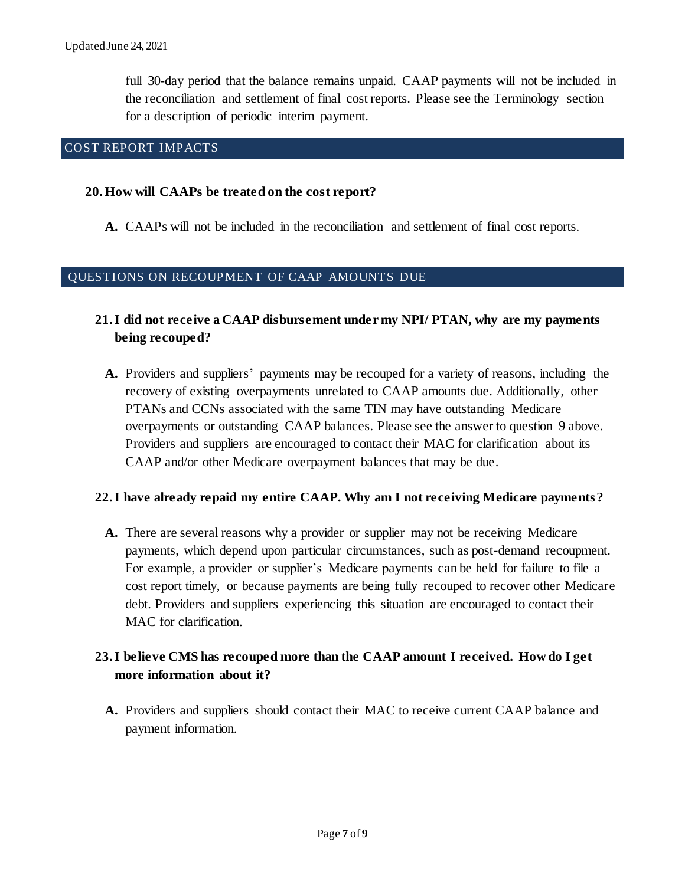full 30-day period that the balance remains unpaid. CAAP payments will not be included in the reconciliation and settlement of final cost reports. Please see the Terminology section for a description of periodic interim payment.

## COST REPORT IMPACTS

#### **20.How will CAAPs be treated on the cost report?**

**A.** CAAPs will not be included in the reconciliation and settlement of final cost reports.

#### QUESTIONS ON RECOUPMENT OF CAAP AMOUNTS DUE

## **21.I did not receive a CAAP disbursement under my NPI/ PTAN, why are my payments being recouped?**

**A.** Providers and suppliers' payments may be recouped for a variety of reasons, including the recovery of existing overpayments unrelated to CAAP amounts due. Additionally, other PTANs and CCNs associated with the same TIN may have outstanding Medicare overpayments or outstanding CAAP balances. Please see the answer to question 9 above. Providers and suppliers are encouraged to contact their MAC for clarification about its CAAP and/or other Medicare overpayment balances that may be due.

## **22.I have already repaid my entire CAAP. Why am I not receiving Medicare payments?**

**A.** There are several reasons why a provider or supplier may not be receiving Medicare payments, which depend upon particular circumstances, such as post-demand recoupment. For example, a provider or supplier's Medicare payments can be held for failure to file a cost report timely, or because payments are being fully recouped to recover other Medicare debt. Providers and suppliers experiencing this situation are encouraged to contact their MAC for clarification.

## **23.I believe CMS has recouped more than the CAAP amount I received. How do I get more information about it?**

**A.** Providers and suppliers should contact their MAC to receive current CAAP balance and payment information.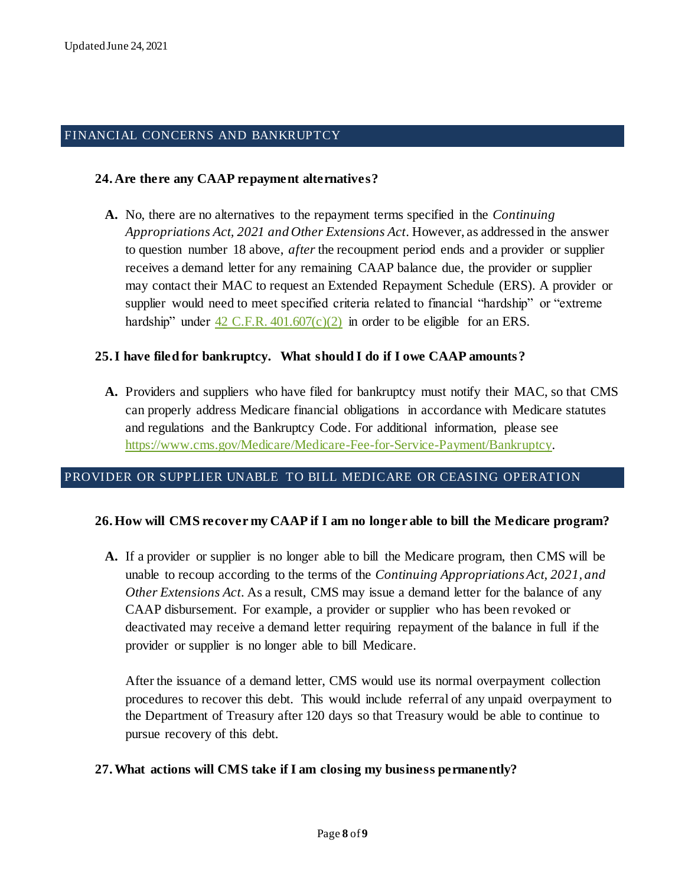#### FINANCIAL CONCERNS AND BANKRUPTCY

#### **24. Are there any CAAP repayment alternatives?**

**A.** No, there are no alternatives to the repayment terms specified in the *Continuing Appropriations Act, 2021 and Other Extensions Act*. However, as addressed in the answer to question number 18 above, *after* the recoupment period ends and a provider or supplier receives a demand letter for any remaining CAAP balance due, the provider or supplier may contact their MAC to request an Extended Repayment Schedule (ERS). A provider or supplier would need to meet specified criteria related to financial "hardship" or "extreme hardship" under  $42$  C.F.R.  $401.607(c)(2)$  in order to be eligible for an ERS.

#### **25.I have filed for bankruptcy. What should I do if I owe CAAP amounts?**

**A.** Providers and suppliers who have filed for bankruptcy must notify their MAC, so that CMS can properly address Medicare financial obligations in accordance with Medicare statutes and regulations and the Bankruptcy Code. For additional information, please see [https://www.cms.gov/Medicare/Medicare-Fee-for-Service-Payment/Bankruptcy.](https://www.cms.gov/Medicare/Medicare-Fee-for-Service-Payment/Bankruptcy) 

#### PROVIDER OR SUPPLIER UNABLE TO BILL MEDICARE OR CEASING OPERATION

#### **26.How will CMS recover my CAAP if I am no longer able to bill the Medicare program?**

**A.** If a provider or supplier is no longer able to bill the Medicare program, then CMS will be unable to recoup according to the terms of the *Continuing Appropriations Act, 2021, and Other Extensions Act.* As a result, CMS may issue a demand letter for the balance of any CAAP disbursement. For example, a provider or supplier who has been revoked or deactivated may receive a demand letter requiring repayment of the balance in full if the provider or supplier is no longer able to bill Medicare.

After the issuance of a demand letter, CMS would use its normal overpayment collection procedures to recover this debt. This would include referral of any unpaid overpayment to the Department of Treasury after 120 days so that Treasury would be able to continue to pursue recovery of this debt.

#### **27.What actions will CMS take if I am closing my business permanently?**